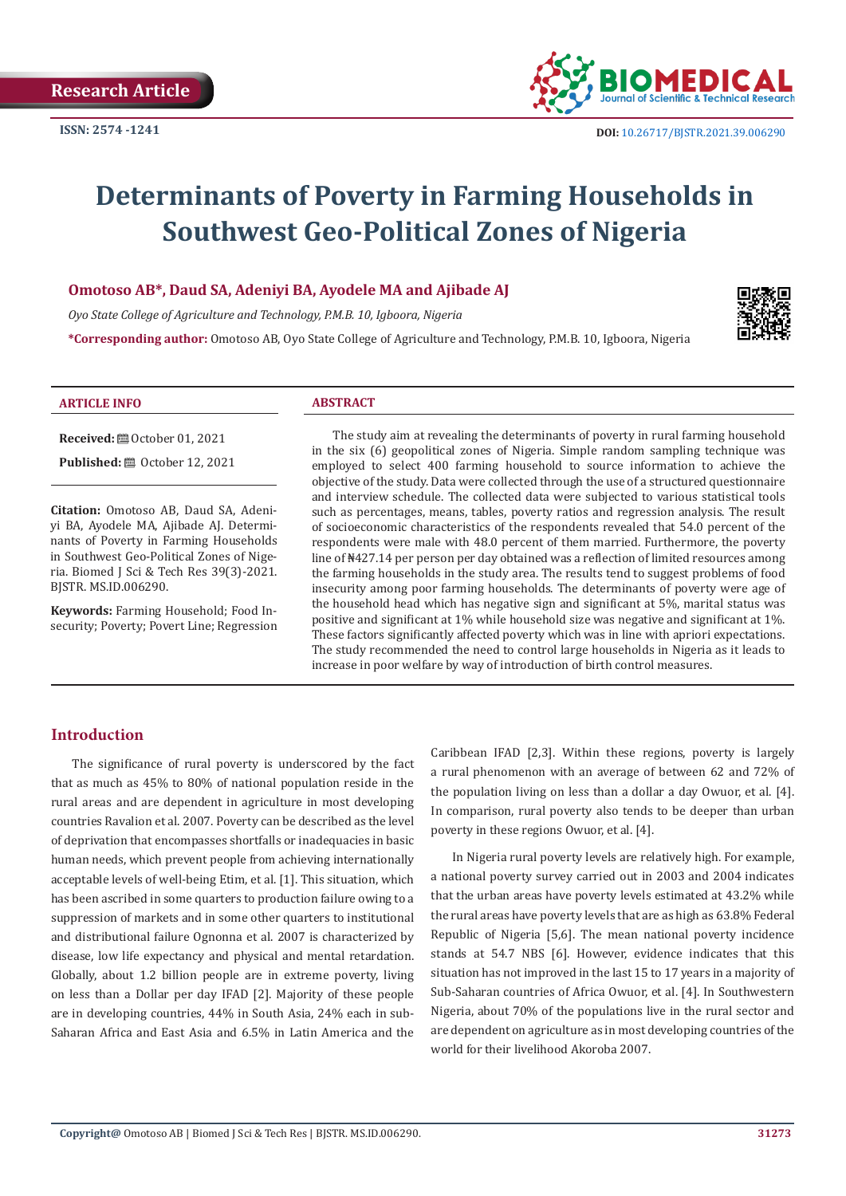

# **Determinants of Poverty in Farming Households in Southwest Geo-Political Zones of Nigeria**

#### **Omotoso AB\*, Daud SA, Adeniyi BA, Ayodele MA and Ajibade AJ**

*Oyo State College of Agriculture and Technology, P.M.B. 10, Igboora, Nigeria*

**\*Corresponding author:** Omotoso AB, Oyo State College of Agriculture and Technology, P.M.B. 10, Igboora, Nigeria



#### **ARTICLE INFO ABSTRACT**

**Received:** ■ October 01, 2021 **Published:** ■ October 12, 2021

**Citation:** Omotoso AB, Daud SA, Adeniyi BA, Ayodele MA, Ajibade AJ. Determinants of Poverty in Farming Households in Southwest Geo-Political Zones of Nige-

**Keywords:** Farming Household; Food Insecurity; Poverty; Povert Line; Regression

ria. Biomed J Sci & Tech Res 39(3)-2021.

The study aim at revealing the determinants of poverty in rural farming household in the six (6) geopolitical zones of Nigeria. Simple random sampling technique was employed to select 400 farming household to source information to achieve the objective of the study. Data were collected through the use of a structured questionnaire and interview schedule. The collected data were subjected to various statistical tools such as percentages, means, tables, poverty ratios and regression analysis. The result of socioeconomic characteristics of the respondents revealed that 54.0 percent of the respondents were male with 48.0 percent of them married. Furthermore, the poverty line of ₦427.14 per person per day obtained was a reflection of limited resources among the farming households in the study area. The results tend to suggest problems of food insecurity among poor farming households. The determinants of poverty were age of the household head which has negative sign and significant at 5%, marital status was positive and significant at 1% while household size was negative and significant at 1%. These factors significantly affected poverty which was in line with apriori expectations. The study recommended the need to control large households in Nigeria as it leads to increase in poor welfare by way of introduction of birth control measures.

#### **Introduction**

BJSTR. MS.ID.006290.

The significance of rural poverty is underscored by the fact that as much as 45% to 80% of national population reside in the rural areas and are dependent in agriculture in most developing countries Ravalion et al. 2007. Poverty can be described as the level of deprivation that encompasses shortfalls or inadequacies in basic human needs, which prevent people from achieving internationally acceptable levels of well-being Etim, et al. [1]. This situation, which has been ascribed in some quarters to production failure owing to a suppression of markets and in some other quarters to institutional and distributional failure Ognonna et al. 2007 is characterized by disease, low life expectancy and physical and mental retardation. Globally, about 1.2 billion people are in extreme poverty, living on less than a Dollar per day IFAD [2]. Majority of these people are in developing countries, 44% in South Asia, 24% each in sub-Saharan Africa and East Asia and 6.5% in Latin America and the

Caribbean IFAD [2,3]. Within these regions, poverty is largely a rural phenomenon with an average of between 62 and 72% of the population living on less than a dollar a day Owuor, et al. [4]. In comparison, rural poverty also tends to be deeper than urban poverty in these regions Owuor, et al. [4].

In Nigeria rural poverty levels are relatively high. For example, a national poverty survey carried out in 2003 and 2004 indicates that the urban areas have poverty levels estimated at 43.2% while the rural areas have poverty levels that are as high as 63.8% Federal Republic of Nigeria [5,6]. The mean national poverty incidence stands at 54.7 NBS [6]. However, evidence indicates that this situation has not improved in the last 15 to 17 years in a majority of Sub-Saharan countries of Africa Owuor, et al. [4]. In Southwestern Nigeria, about 70% of the populations live in the rural sector and are dependent on agriculture as in most developing countries of the world for their livelihood Akoroba 2007.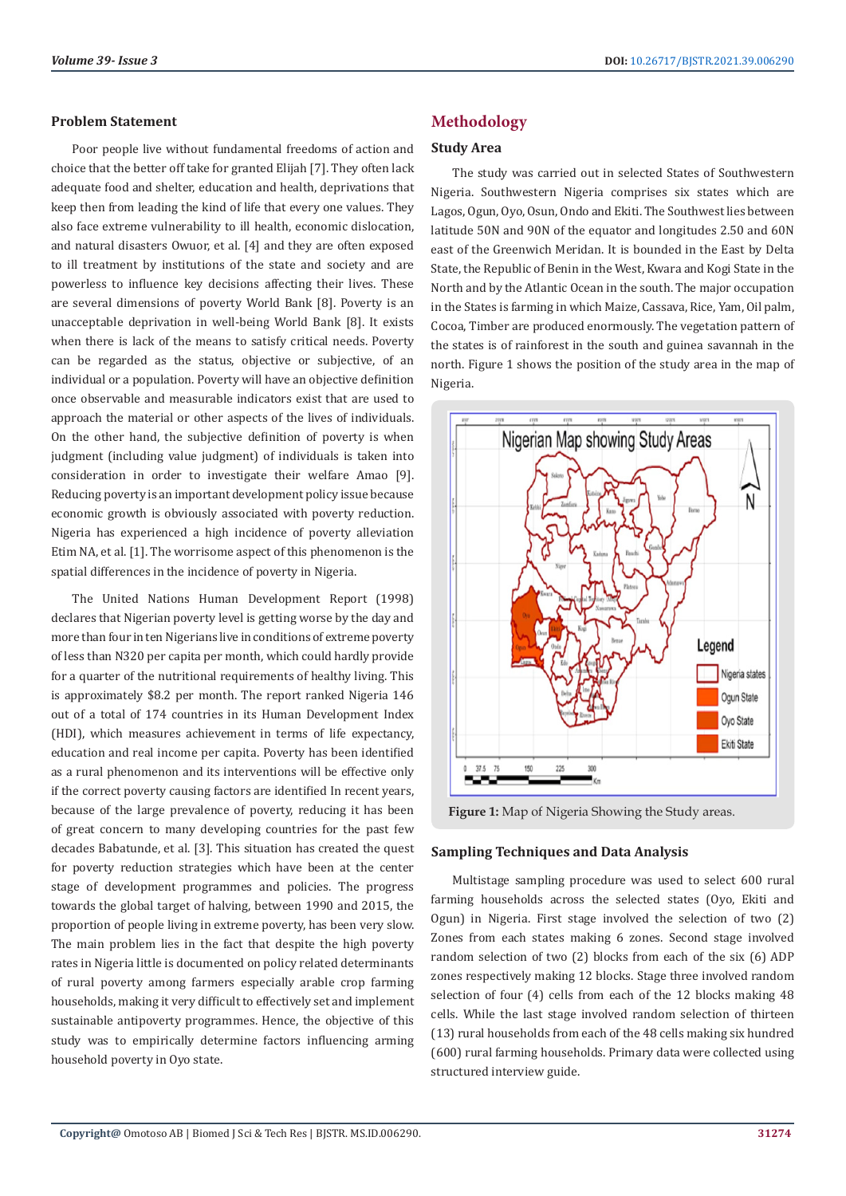#### **Problem Statement**

Poor people live without fundamental freedoms of action and choice that the better off take for granted Elijah [7]. They often lack adequate food and shelter, education and health, deprivations that keep then from leading the kind of life that every one values. They also face extreme vulnerability to ill health, economic dislocation, and natural disasters Owuor, et al. [4] and they are often exposed to ill treatment by institutions of the state and society and are powerless to influence key decisions affecting their lives. These are several dimensions of poverty World Bank [8]. Poverty is an unacceptable deprivation in well-being World Bank [8]. It exists when there is lack of the means to satisfy critical needs. Poverty can be regarded as the status, objective or subjective, of an individual or a population. Poverty will have an objective definition once observable and measurable indicators exist that are used to approach the material or other aspects of the lives of individuals. On the other hand, the subjective definition of poverty is when judgment (including value judgment) of individuals is taken into consideration in order to investigate their welfare Amao [9]. Reducing poverty is an important development policy issue because economic growth is obviously associated with poverty reduction. Nigeria has experienced a high incidence of poverty alleviation Etim NA, et al. [1]. The worrisome aspect of this phenomenon is the spatial differences in the incidence of poverty in Nigeria.

The United Nations Human Development Report (1998) declares that Nigerian poverty level is getting worse by the day and more than four in ten Nigerians live in conditions of extreme poverty of less than N320 per capita per month, which could hardly provide for a quarter of the nutritional requirements of healthy living. This is approximately \$8.2 per month. The report ranked Nigeria 146 out of a total of 174 countries in its Human Development Index (HDI), which measures achievement in terms of life expectancy, education and real income per capita. Poverty has been identified as a rural phenomenon and its interventions will be effective only if the correct poverty causing factors are identified In recent years, because of the large prevalence of poverty, reducing it has been of great concern to many developing countries for the past few decades Babatunde, et al. [3]. This situation has created the quest for poverty reduction strategies which have been at the center stage of development programmes and policies. The progress towards the global target of halving, between 1990 and 2015, the proportion of people living in extreme poverty, has been very slow. The main problem lies in the fact that despite the high poverty rates in Nigeria little is documented on policy related determinants of rural poverty among farmers especially arable crop farming households, making it very difficult to effectively set and implement sustainable antipoverty programmes. Hence, the objective of this study was to empirically determine factors influencing arming household poverty in Oyo state.

# **Methodology**

# **Study Area**

The study was carried out in selected States of Southwestern Nigeria. Southwestern Nigeria comprises six states which are Lagos, Ogun, Oyo, Osun, Ondo and Ekiti. The Southwest lies between latitude 50N and 90N of the equator and longitudes 2.50 and 60N east of the Greenwich Meridan. It is bounded in the East by Delta State, the Republic of Benin in the West, Kwara and Kogi State in the North and by the Atlantic Ocean in the south. The major occupation in the States is farming in which Maize, Cassava, Rice, Yam, Oil palm, Cocoa, Timber are produced enormously. The vegetation pattern of the states is of rainforest in the south and guinea savannah in the north. Figure 1 shows the position of the study area in the map of Nigeria.



**Figure 1:** Map of Nigeria Showing the Study areas.

#### **Sampling Techniques and Data Analysis**

Multistage sampling procedure was used to select 600 rural farming households across the selected states (Oyo, Ekiti and Ogun) in Nigeria. First stage involved the selection of two (2) Zones from each states making 6 zones. Second stage involved random selection of two (2) blocks from each of the six (6) ADP zones respectively making 12 blocks. Stage three involved random selection of four (4) cells from each of the 12 blocks making 48 cells. While the last stage involved random selection of thirteen (13) rural households from each of the 48 cells making six hundred (600) rural farming households. Primary data were collected using structured interview guide.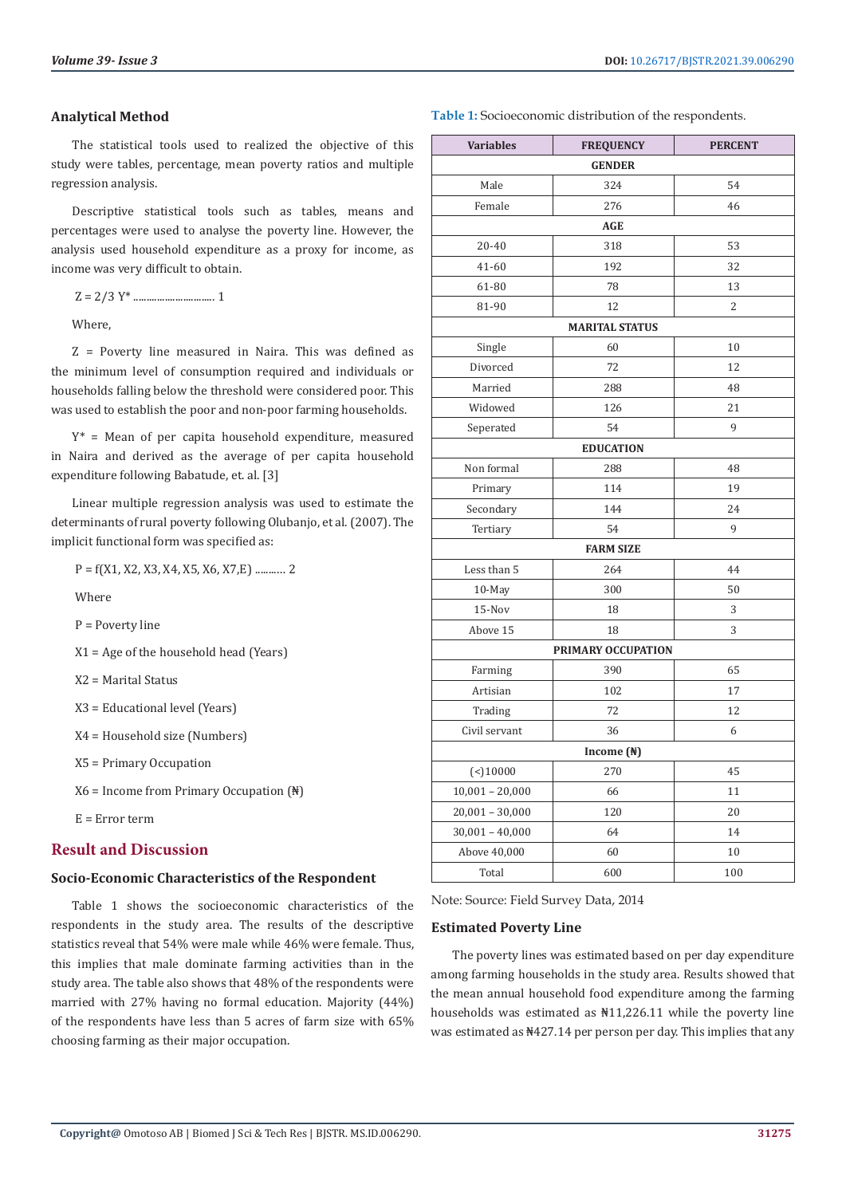#### **Analytical Method**

The statistical tools used to realized the objective of this study were tables, percentage, mean poverty ratios and multiple regression analysis.

Descriptive statistical tools such as tables, means and percentages were used to analyse the poverty line. However, the analysis used household expenditure as a proxy for income, as income was very difficult to obtain.

Z = 2/3 Y\* ............................... 1

Where,

Z = Poverty line measured in Naira. This was defined as the minimum level of consumption required and individuals or households falling below the threshold were considered poor. This was used to establish the poor and non-poor farming households.

 $Y^*$  = Mean of per capita household expenditure, measured in Naira and derived as the average of per capita household expenditure following Babatude, et. al. [3]

Linear multiple regression analysis was used to estimate the determinants of rural poverty following Olubanjo, et al. (2007). The implicit functional form was specified as:

P = f(X1, X2, X3, X4, X5, X6, X7,E) ........… 2

Where

P = Poverty line

X1 = Age of the household head (Years)

X2 = Marital Status

X3 = Educational level (Years)

X4 = Household size (Numbers)

X5 = Primary Occupation

X6 = Income from Primary Occupation (₦)

E = Error term

### **Result and Discussion**

# **Socio-Economic Characteristics of the Respondent**

Table 1 shows the socioeconomic characteristics of the respondents in the study area. The results of the descriptive statistics reveal that 54% were male while 46% were female. Thus, this implies that male dominate farming activities than in the study area. The table also shows that 48% of the respondents were married with 27% having no formal education. Majority (44%) of the respondents have less than 5 acres of farm size with 65% choosing farming as their major occupation.

| Table 1: Socioeconomic distribution of the respondents. |  |  |  |
|---------------------------------------------------------|--|--|--|
|---------------------------------------------------------|--|--|--|

| <b>Variables</b>      | <b>FREQUENCY</b>      | <b>PERCENT</b> |  |  |  |  |
|-----------------------|-----------------------|----------------|--|--|--|--|
| <b>GENDER</b>         |                       |                |  |  |  |  |
| Male                  | 324                   | 54             |  |  |  |  |
| Female                | 276                   | 46             |  |  |  |  |
| AGE                   |                       |                |  |  |  |  |
| 20-40                 | 318                   | 53             |  |  |  |  |
| 41-60                 | 192                   | 32             |  |  |  |  |
| 61-80                 | 78                    | 13             |  |  |  |  |
| 81-90                 | 12                    | 2              |  |  |  |  |
|                       | <b>MARITAL STATUS</b> |                |  |  |  |  |
| Single                | 60                    | 10             |  |  |  |  |
| Divorced              | 72                    | 12             |  |  |  |  |
| Married               | 288                   | 48             |  |  |  |  |
| Widowed               | 126                   | 21             |  |  |  |  |
| Seperated             | 54                    | 9              |  |  |  |  |
| <b>EDUCATION</b>      |                       |                |  |  |  |  |
| Non formal            | 288                   | 48             |  |  |  |  |
| Primary               | 114                   | 19             |  |  |  |  |
| Secondary             | 144                   | 24             |  |  |  |  |
| Tertiary              | 54                    | 9              |  |  |  |  |
|                       | <b>FARM SIZE</b>      |                |  |  |  |  |
| Less than 5           | 264                   | 44             |  |  |  |  |
| $10-May$              | 300                   | 50             |  |  |  |  |
| 15-Nov                | 18                    | 3              |  |  |  |  |
| Above 15              | 18                    | 3              |  |  |  |  |
| PRIMARY OCCUPATION    |                       |                |  |  |  |  |
| Farming               | 390                   | 65             |  |  |  |  |
| Artisian              | 102                   | 17             |  |  |  |  |
| Trading               | 72                    | 12             |  |  |  |  |
| Civil servant         | 36                    | 6              |  |  |  |  |
| Income $(\sqrt[4]{})$ |                       |                |  |  |  |  |
| $($ < $)10000$        | 270                   | 45             |  |  |  |  |
| $10,001 - 20,000$     | 66                    | 11             |  |  |  |  |
| $20,001 - 30,000$     | 120                   | $20\,$         |  |  |  |  |
| $30,001 - 40,000$     | 64                    | 14             |  |  |  |  |
| Above 40,000          | 60                    | 10             |  |  |  |  |
| Total                 | 600                   | 100            |  |  |  |  |

Note: Source: Field Survey Data, 2014

#### **Estimated Poverty Line**

The poverty lines was estimated based on per day expenditure among farming households in the study area. Results showed that the mean annual household food expenditure among the farming households was estimated as ₦11,226.11 while the poverty line was estimated as ₦427.14 per person per day. This implies that any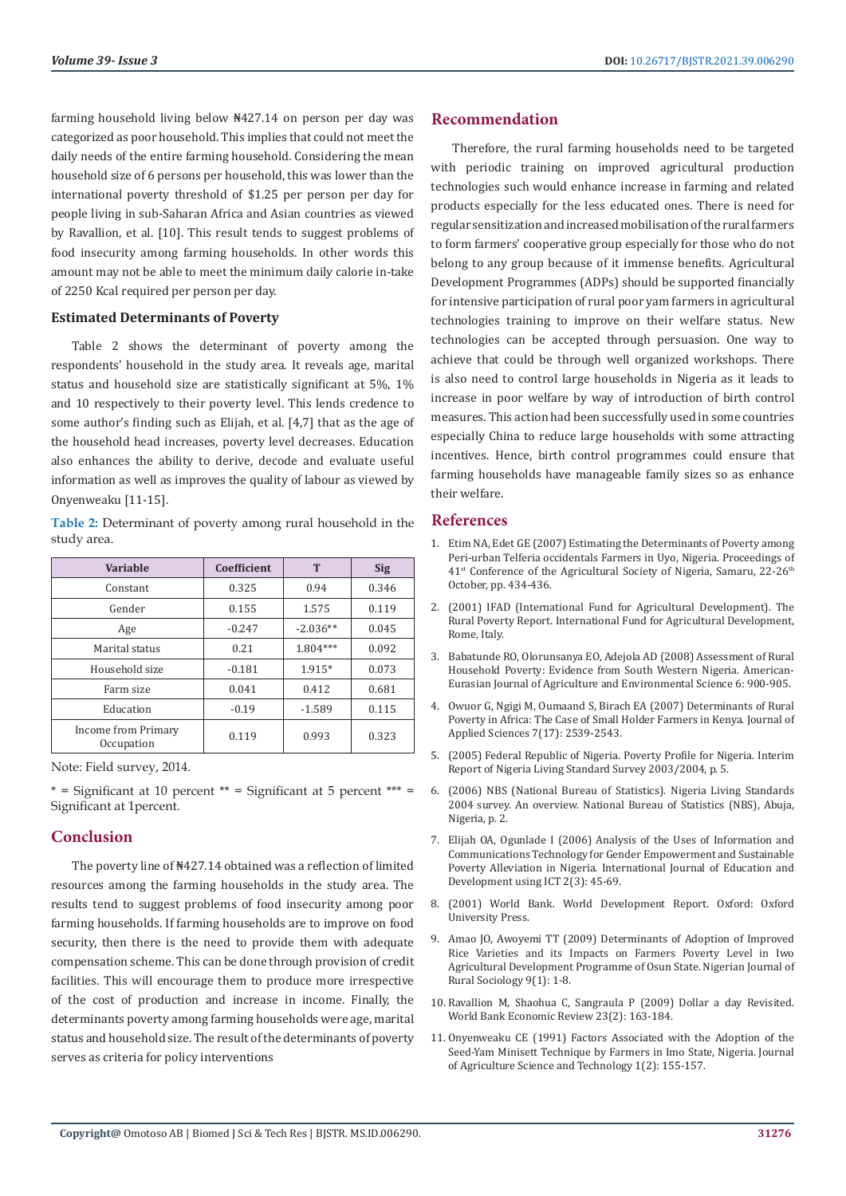farming household living below ₦427.14 on person per day was categorized as poor household. This implies that could not meet the daily needs of the entire farming household. Considering the mean household size of 6 persons per household, this was lower than the international poverty threshold of \$1.25 per person per day for people living in sub-Saharan Africa and Asian countries as viewed by Ravallion, et al. [10]. This result tends to suggest problems of food insecurity among farming households. In other words this amount may not be able to meet the minimum daily calorie in-take of 2250 Kcal required per person per day.

#### **Estimated Determinants of Poverty**

Table 2 shows the determinant of poverty among the respondents' household in the study area. It reveals age, marital status and household size are statistically significant at 5%, 1% and 10 respectively to their poverty level. This lends credence to some author's finding such as Elijah, et al. [4,7] that as the age of the household head increases, poverty level decreases. Education also enhances the ability to derive, decode and evaluate useful information as well as improves the quality of labour as viewed by Onyenweaku [11-15].

**Table 2:** Determinant of poverty among rural household in the study area.

| Variable                          | Coefficient | T          | <b>Sig</b> |
|-----------------------------------|-------------|------------|------------|
| Constant                          | 0.325       | 0.94       | 0.346      |
| Gender                            | 0.155       | 1.575      | 0.119      |
| Age                               | $-0.247$    | $-2.036**$ | 0.045      |
| Marital status                    | 0.21        | $1.804***$ | 0.092      |
| Household size                    | $-0.181$    | $1.915*$   | 0.073      |
| Farm size                         | 0.041       | 0.412      | 0.681      |
| Education                         | $-0.19$     | $-1.589$   | 0.115      |
| Income from Primary<br>Occupation | 0.119       | 0.993      | 0.323      |

Note: Field survey, 2014.

 $*$  = Significant at 10 percent  $**$  = Significant at 5 percent  $***$  = Significant at 1percent.

# **Conclusion**

The poverty line of ₦427.14 obtained was a reflection of limited resources among the farming households in the study area. The results tend to suggest problems of food insecurity among poor farming households. If farming households are to improve on food security, then there is the need to provide them with adequate compensation scheme. This can be done through provision of credit facilities. This will encourage them to produce more irrespective of the cost of production and increase in income. Finally, the determinants poverty among farming households were age, marital status and household size. The result of the determinants of poverty serves as criteria for policy interventions

#### **Recommendation**

Therefore, the rural farming households need to be targeted with periodic training on improved agricultural production technologies such would enhance increase in farming and related products especially for the less educated ones. There is need for regular sensitization and increased mobilisation of the rural farmers to form farmers' cooperative group especially for those who do not belong to any group because of it immense benefits. Agricultural Development Programmes (ADPs) should be supported financially for intensive participation of rural poor yam farmers in agricultural technologies training to improve on their welfare status. New technologies can be accepted through persuasion. One way to achieve that could be through well organized workshops. There is also need to control large households in Nigeria as it leads to increase in poor welfare by way of introduction of birth control measures. This action had been successfully used in some countries especially China to reduce large households with some attracting incentives. Hence, birth control programmes could ensure that farming households have manageable family sizes so as enhance their welfare.

# **References**

- 1. Etim NA, Edet GE (2007) Estimating the Determinants of Poverty among Peri-urban Telferia occidentals Farmers in Uyo, Nigeria. Proceedings of 41<sup>st</sup> Conference of the Agricultural Society of Nigeria, Samaru, 22-26<sup>th</sup> October, pp. 434-436.
- 2. (2001) IFAD (International Fund for Agricultural Development). The Rural Poverty Report. International Fund for Agricultural Development, Rome, Italy.
- 3. [Babatunde RO, Olorunsanya EO, Adejola AD \(2008\) Assessment of Rural](https://www.researchgate.net/publication/242302394_Assessment_of_Rural_Household_Poverty_Evidence_from_South-western_Nigeria) [Household Poverty: Evidence from South Western Nigeria. American-](https://www.researchgate.net/publication/242302394_Assessment_of_Rural_Household_Poverty_Evidence_from_South-western_Nigeria)[Eurasian Journal of Agriculture and Environmental Science 6: 900-905.](https://www.researchgate.net/publication/242302394_Assessment_of_Rural_Household_Poverty_Evidence_from_South-western_Nigeria)
- 4. [Owuor G, Ngigi M, Oumaand S, Birach EA \(2007\) Determinants of Rural](https://www.researchgate.net/publication/26559802_Determinants_of_Rural_Poverty_in_Africa_The_Case_of_Small_Holder_Farmers_in_Kenya) [Poverty in Africa: The Case of Small Holder Farmers in Kenya. Journal of](https://www.researchgate.net/publication/26559802_Determinants_of_Rural_Poverty_in_Africa_The_Case_of_Small_Holder_Farmers_in_Kenya) [Applied Sciences 7\(17\): 2539-2543.](https://www.researchgate.net/publication/26559802_Determinants_of_Rural_Poverty_in_Africa_The_Case_of_Small_Holder_Farmers_in_Kenya)
- 5. (2005) Federal Republic of Nigeria. Poverty Profile for Nigeria. Interim Report of Nigeria Living Standard Survey 2003/2004, p. 5.
- 6. (2006) NBS (National Bureau of Statistics). Nigeria Living Standards 2004 survey. An overview. National Bureau of Statistics (NBS), Abuja, Nigeria, p. 2.
- 7. [Elijah OA, Ogunlade I \(2006\) Analysis of the Uses of Information and](http://citeseerx.ist.psu.edu/viewdoc/download?doi=10.1.1.618.2368&rep=rep1&type=pdf) [Communications Technology for Gender Empowerment and Sustainable](http://citeseerx.ist.psu.edu/viewdoc/download?doi=10.1.1.618.2368&rep=rep1&type=pdf) [Poverty Alleviation in Nigeria. International Journal of Education and](http://citeseerx.ist.psu.edu/viewdoc/download?doi=10.1.1.618.2368&rep=rep1&type=pdf) [Development using ICT 2\(3\): 45-69.](http://citeseerx.ist.psu.edu/viewdoc/download?doi=10.1.1.618.2368&rep=rep1&type=pdf)
- 8. [\(2001\) World Bank. World Development Report. Oxford: Oxford](https://openknowledge.worldbank.org/handle/10986/11856) [University Press.](https://openknowledge.worldbank.org/handle/10986/11856)
- 9. Amao JO, Awoyemi TT (2009) Determinants of Adoption of Improved Rice Varieties and its Impacts on Farmers Poverty Level in Iwo Agricultural Development Programme of Osun State. Nigerian Journal of Rural Sociology 9(1): 1-8.
- 10. [Ravallion M, Shaohua C, Sangraula P \(2009\) Dollar a day Revisited.](https://elibrary.worldbank.org/doi/abs/10.1093/wber/lhp007) [World Bank Economic Review 23\(2\): 163-184.](https://elibrary.worldbank.org/doi/abs/10.1093/wber/lhp007)
- 11. Onyenweaku CE (1991) Factors Associated with the Adoption of the Seed-Yam Minisett Technique by Farmers in Imo State, Nigeria. Journal of Agriculture Science and Technology 1(2): 155-157.